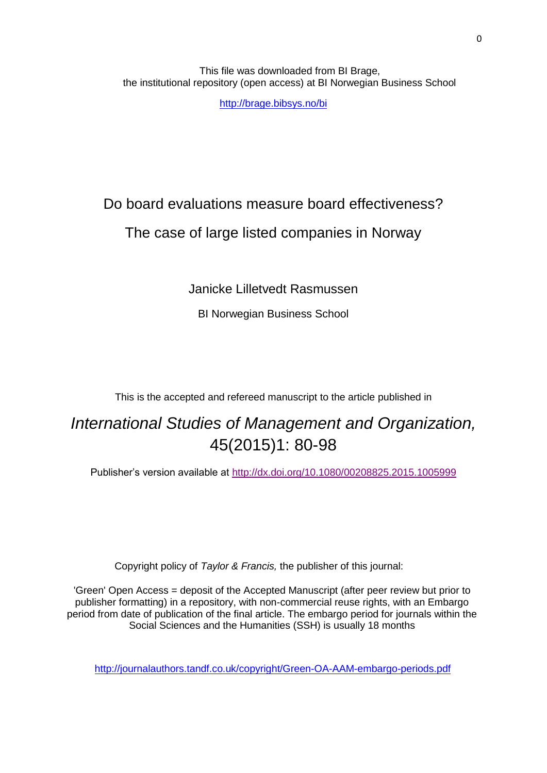This file was downloaded from BI Brage, the institutional repository (open access) at BI Norwegian Business School

<http://brage.bibsys.no/bi>

# Do board evaluations measure board effectiveness? The case of large listed companies in Norway

Janicke Lilletvedt Rasmussen

BI Norwegian Business School

This is the accepted and refereed manuscript to the article published in

## *International Studies of Management and Organization,* 45(2015)1: 80-98

Publisher's version available at <http://dx.doi.org/10.1080/00208825.2015.1005999>

Copyright policy of *Taylor & Francis,* the publisher of this journal:

'Green' Open Access = deposit of the Accepted Manuscript (after peer review but prior to publisher formatting) in a repository, with non-commercial reuse rights, with an Embargo period from date of publication of the final article. The embargo period for journals within the Social Sciences and the Humanities (SSH) is usually 18 months

<http://journalauthors.tandf.co.uk/copyright/Green-OA-AAM-embargo-periods.pdf>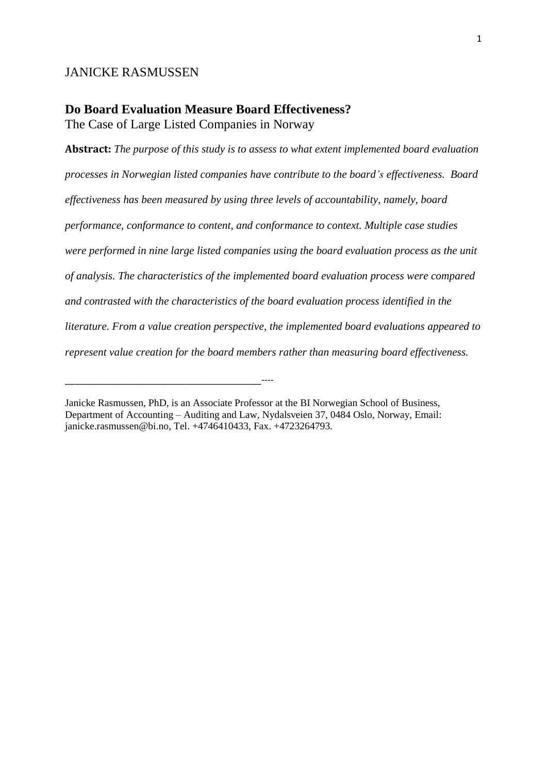#### JANICKE RASMUSSEN

## **Do Board Evaluation Measure Board Effectiveness?**

The Case of Large Listed Companies in Norway

\_\_\_\_\_\_\_\_\_\_\_\_\_\_\_\_\_\_\_\_\_\_\_\_\_\_\_\_\_\_\_\_\_\_\_\_\_\_\_----

**Abstract:** *The purpose of this study is to assess to what extent implemented board evaluation processes in Norwegian listed companies have contribute to the board's effectiveness. Board effectiveness has been measured by using three levels of accountability, namely, board performance, conformance to content, and conformance to context. Multiple case studies were performed in nine large listed companies using the board evaluation process as the unit of analysis. The characteristics of the implemented board evaluation process were compared and contrasted with the characteristics of the board evaluation process identified in the literature. From a value creation perspective, the implemented board evaluations appeared to represent value creation for the board members rather than measuring board effectiveness.*

Janicke Rasmussen, PhD, is an Associate Professor at the BI Norwegian School of Business, Department of Accounting – Auditing and Law, Nydalsveien 37, 0484 Oslo, Norway, Email: janicke.rasmussen@bi.no, Tel. +4746410433, Fax. +4723264793.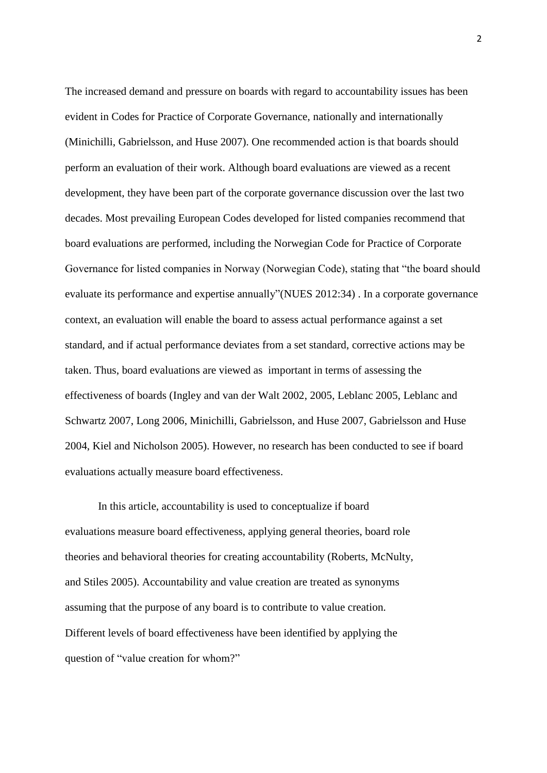The increased demand and pressure on boards with regard to accountability issues has been evident in Codes for Practice of Corporate Governance, nationally and internationally [\(Minichilli, Gabrielsson, and Huse 2007\)](#page-22-0). One recommended action is that boards should perform an evaluation of their work. Although board evaluations are viewed as a recent development, they have been part of the corporate governance discussion over the last two decades. Most prevailing European Codes developed for listed companies recommend that board evaluations are performed, including the Norwegian Code for Practice of Corporate Governance for listed companies in Norway (Norwegian Code), stating that "the board should evaluate its performance and expertise annually"[\(NUES 2012:34\)](#page-22-1) . In a corporate governance context, an evaluation will enable the board to assess actual performance against a set standard, and if actual performance deviates from a set standard, corrective actions may be taken. Thus, board evaluations are viewed as important in terms of assessing the effectiveness of boards [\(Ingley and van der Walt 2002,](#page-21-0) [2005,](#page-22-2) [Leblanc 2005,](#page-22-3) [Leblanc and](#page-22-4)  [Schwartz 2007,](#page-22-4) [Long 2006,](#page-22-5) [Minichilli, Gabrielsson, and Huse 2007,](#page-22-0) [Gabrielsson and Huse](#page-21-1)  [2004,](#page-21-1) [Kiel and Nicholson 2005\)](#page-22-6). However, no research has been conducted to see if board evaluations actually measure board effectiveness.

In this article, accountability is used to conceptualize if board evaluations measure board effectiveness, applying general theories, board role theories and behavioral theories for creating accountability [\(Roberts, McNulty,](#page-23-0)  [and Stiles 2005\)](#page-23-0). Accountability and value creation are treated as synonyms assuming that the purpose of any board is to contribute to value creation. Different levels of board effectiveness have been identified by applying the question of "value creation for whom?"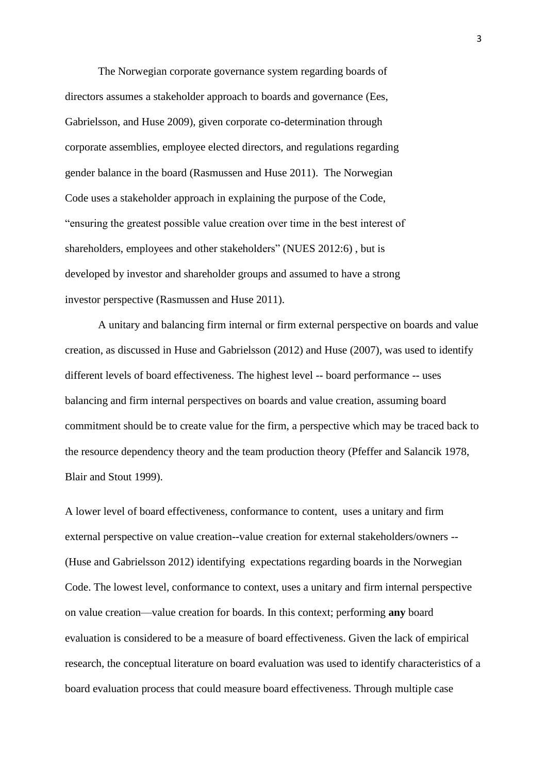The Norwegian corporate governance system regarding boards of directors assumes a stakeholder approach to boards and governance [\(Ees,](#page-21-2)  [Gabrielsson, and Huse 2009\)](#page-21-2), given corporate co-determination through corporate assemblies, employee elected directors, and regulations regarding gender balance in the board [\(Rasmussen and Huse 2011\)](#page-22-7). The Norwegian Code uses a stakeholder approach in explaining the purpose of the Code, "ensuring the greatest possible value creation over time in the best interest of shareholders, employees and other stakeholders" [\(NUES 2012:6\)](#page-22-1) , but is developed by investor and shareholder groups and assumed to have a strong investor perspective [\(Rasmussen and Huse 2011\)](#page-22-7).

A unitary and balancing firm internal or firm external perspective on boards and value creation, as discussed in Huse and Gabrielsson (2012) and Huse (2007), was used to identify different levels of board effectiveness. The highest level -- board performance -- uses balancing and firm internal perspectives on boards and value creation, assuming board commitment should be to create value for the firm, a perspective which may be traced back to the resource dependency theory and the team production theory [\(Pfeffer and Salancik 1978,](#page-22-8) [Blair and Stout 1999\)](#page-21-3).

A lower level of board effectiveness, conformance to content, uses a unitary and firm external perspective on value creation--value creation for external stakeholders/owners -- [\(Huse and Gabrielsson 2012\)](#page-21-4) identifying expectations regarding boards in the Norwegian Code. The lowest level, conformance to context, uses a unitary and firm internal perspective on value creation—value creation for boards. In this context; performing **any** board evaluation is considered to be a measure of board effectiveness. Given the lack of empirical research, the conceptual literature on board evaluation was used to identify characteristics of a board evaluation process that could measure board effectiveness. Through multiple case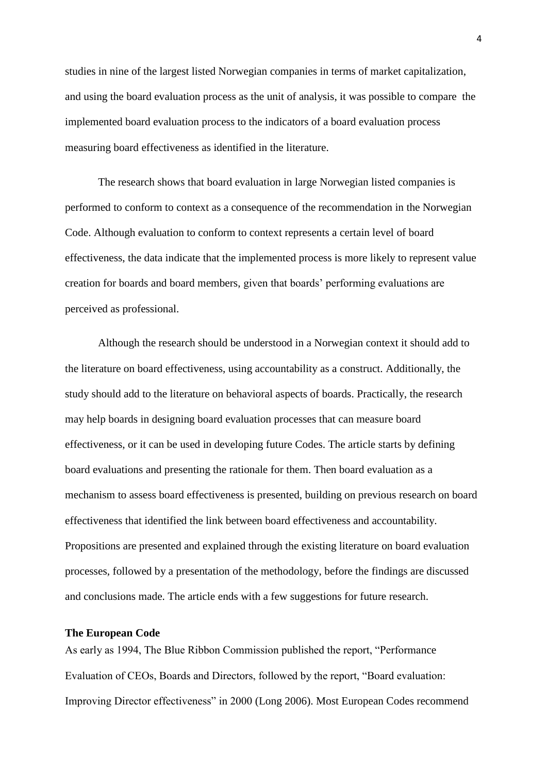studies in nine of the largest listed Norwegian companies in terms of market capitalization, and using the board evaluation process as the unit of analysis, it was possible to compare the implemented board evaluation process to the indicators of a board evaluation process measuring board effectiveness as identified in the literature.

The research shows that board evaluation in large Norwegian listed companies is performed to conform to context as a consequence of the recommendation in the Norwegian Code. Although evaluation to conform to context represents a certain level of board effectiveness, the data indicate that the implemented process is more likely to represent value creation for boards and board members, given that boards' performing evaluations are perceived as professional.

Although the research should be understood in a Norwegian context it should add to the literature on board effectiveness, using accountability as a construct. Additionally, the study should add to the literature on behavioral aspects of boards. Practically, the research may help boards in designing board evaluation processes that can measure board effectiveness, or it can be used in developing future Codes. The article starts by defining board evaluations and presenting the rationale for them. Then board evaluation as a mechanism to assess board effectiveness is presented, building on previous research on board effectiveness that identified the link between board effectiveness and accountability. Propositions are presented and explained through the existing literature on board evaluation processes, followed by a presentation of the methodology, before the findings are discussed and conclusions made. The article ends with a few suggestions for future research.

#### **The European Code**

As early as 1994, The Blue Ribbon Commission published the report, "Performance Evaluation of CEOs, Boards and Directors, followed by the report, "Board evaluation: Improving Director effectiveness" in 2000 [\(Long 2006\)](#page-22-5). Most European Codes recommend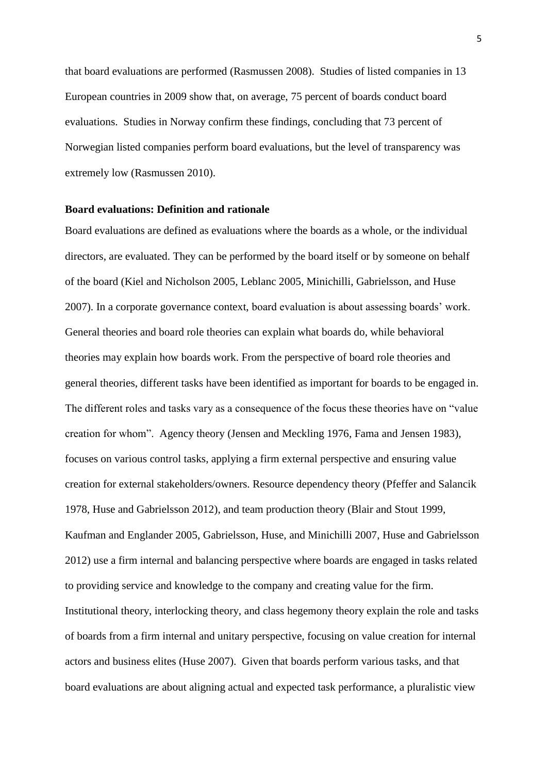that board evaluations are performed [\(Rasmussen 2008\)](#page-22-9). Studies of listed companies in 13 European countries in 2009 show that, on average, 75 percent of boards conduct board evaluations. Studies in Norway confirm these findings, concluding that 73 percent of Norwegian listed companies perform board evaluations, but the level of transparency was extremely low [\(Rasmussen 2010\)](#page-22-10).

#### **Board evaluations: Definition and rationale**

Board evaluations are defined as evaluations where the boards as a whole, or the individual directors, are evaluated. They can be performed by the board itself or by someone on behalf of the board [\(Kiel and Nicholson 2005,](#page-22-6) [Leblanc 2005,](#page-22-3) [Minichilli, Gabrielsson, and Huse](#page-22-0)  [2007\)](#page-22-0). In a corporate governance context, board evaluation is about assessing boards' work. General theories and board role theories can explain what boards do, while behavioral theories may explain how boards work. From the perspective of board role theories and general theories, different tasks have been identified as important for boards to be engaged in. The different roles and tasks vary as a consequence of the focus these theories have on "value creation for whom". Agency theory [\(Jensen and Meckling 1976,](#page-22-11) [Fama and Jensen 1983\)](#page-21-5), focuses on various control tasks, applying a firm external perspective and ensuring value creation for external stakeholders/owners. Resource dependency theory [\(Pfeffer and Salancik](#page-22-8)  [1978,](#page-22-8) [Huse and Gabrielsson 2012\)](#page-21-4), and team production theory [\(Blair and Stout 1999,](#page-21-3) [Kaufman and Englander 2005,](#page-22-12) [Gabrielsson, Huse, and Minichilli 2007,](#page-21-6) [Huse and Gabrielsson](#page-21-4)  [2012\)](#page-21-4) use a firm internal and balancing perspective where boards are engaged in tasks related to providing service and knowledge to the company and creating value for the firm. Institutional theory, interlocking theory, and class hegemony theory explain the role and tasks of boards from a firm internal and unitary perspective, focusing on value creation for internal actors and business elites [\(Huse 2007\)](#page-21-7). Given that boards perform various tasks, and that board evaluations are about aligning actual and expected task performance, a pluralistic view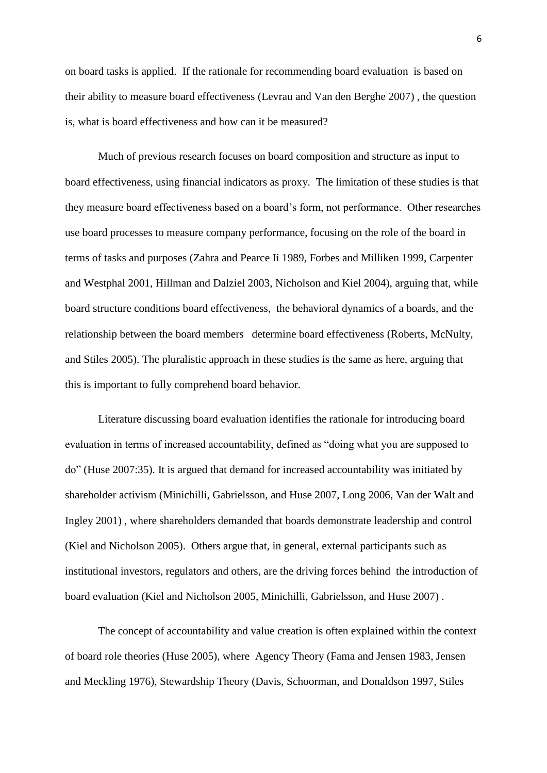on board tasks is applied. If the rationale for recommending board evaluation is based on their ability to measure board effectiveness [\(Levrau and Van den Berghe 2007\)](#page-22-13) , the question is, what is board effectiveness and how can it be measured?

Much of previous research focuses on board composition and structure as input to board effectiveness, using financial indicators as proxy. The limitation of these studies is that they measure board effectiveness based on a board's form, not performance. Other researches use board processes to measure company performance, focusing on the role of the board in terms of tasks and purposes [\(Zahra and Pearce Ii 1989,](#page-23-1) [Forbes and Milliken 1999,](#page-21-8) [Carpenter](#page-21-9)  [and Westphal 2001,](#page-21-9) [Hillman and Dalziel 2003,](#page-21-10) [Nicholson and Kiel 2004\)](#page-22-14), arguing that, while board structure conditions board effectiveness, the behavioral dynamics of a boards, and the relationship between the board members determine board effectiveness [\(Roberts, McNulty,](#page-23-0)  [and Stiles 2005\)](#page-23-0). The pluralistic approach in these studies is the same as here, arguing that this is important to fully comprehend board behavior.

Literature discussing board evaluation identifies the rationale for introducing board evaluation in terms of increased accountability, defined as "doing what you are supposed to do" [\(Huse 2007:35\)](#page-21-7). It is argued that demand for increased accountability was initiated by shareholder activism [\(Minichilli, Gabrielsson, and Huse 2007,](#page-22-0) [Long 2006,](#page-22-5) [Van der Walt and](#page-23-2)  [Ingley 2001\)](#page-23-2) , where shareholders demanded that boards demonstrate leadership and control [\(Kiel and Nicholson 2005\)](#page-22-6). Others argue that, in general, external participants such as institutional investors, regulators and others, are the driving forces behind the introduction of board evaluation [\(Kiel and Nicholson 2005,](#page-22-6) [Minichilli, Gabrielsson, and Huse 2007\)](#page-22-0) .

The concept of accountability and value creation is often explained within the context of board role theories [\(Huse 2005\)](#page-21-11), where Agency Theory [\(Fama and Jensen 1983,](#page-21-5) [Jensen](#page-22-11)  [and Meckling 1976\)](#page-22-11), Stewardship Theory [\(Davis, Schoorman, and Donaldson 1997,](#page-21-12) [Stiles](#page-23-3)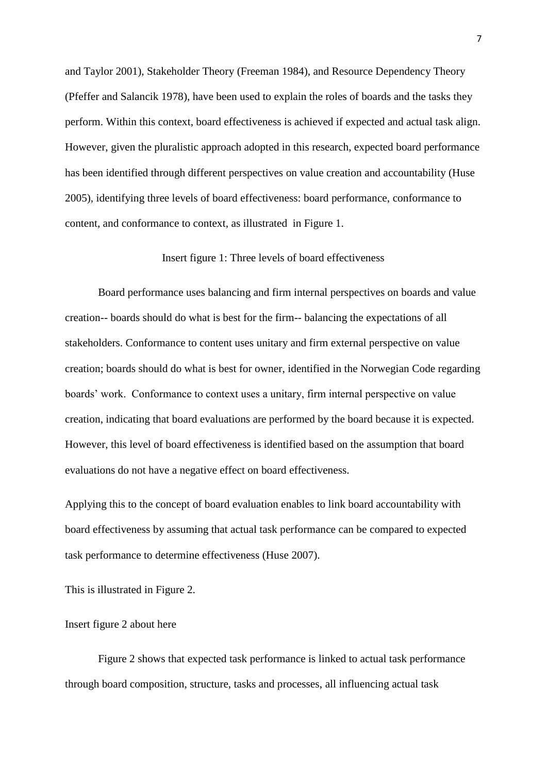[and Taylor 2001\)](#page-23-3), Stakeholder Theory [\(Freeman 1984\)](#page-21-13), and Resource Dependency Theory [\(Pfeffer and Salancik 1978\)](#page-22-8), have been used to explain the roles of boards and the tasks they perform. Within this context, board effectiveness is achieved if expected and actual task align. However, given the pluralistic approach adopted in this research, expected board performance has been identified through different perspectives on value creation and accountability [\(Huse](#page-21-11)  [2005\)](#page-21-11), identifying three levels of board effectiveness: board performance, conformance to content, and conformance to context, as illustrated in Figure 1.

#### Insert figure 1: Three levels of board effectiveness

Board performance uses balancing and firm internal perspectives on boards and value creation-- boards should do what is best for the firm-- balancing the expectations of all stakeholders. Conformance to content uses unitary and firm external perspective on value creation; boards should do what is best for owner, identified in the Norwegian Code regarding boards' work. Conformance to context uses a unitary, firm internal perspective on value creation, indicating that board evaluations are performed by the board because it is expected. However, this level of board effectiveness is identified based on the assumption that board evaluations do not have a negative effect on board effectiveness.

Applying this to the concept of board evaluation enables to link board accountability with board effectiveness by assuming that actual task performance can be compared to expected task performance to determine effectiveness [\(Huse 2007\)](#page-21-7).

This is illustrated in Figure 2.

#### Insert figure 2 about here

Figure 2 shows that expected task performance is linked to actual task performance through board composition, structure, tasks and processes, all influencing actual task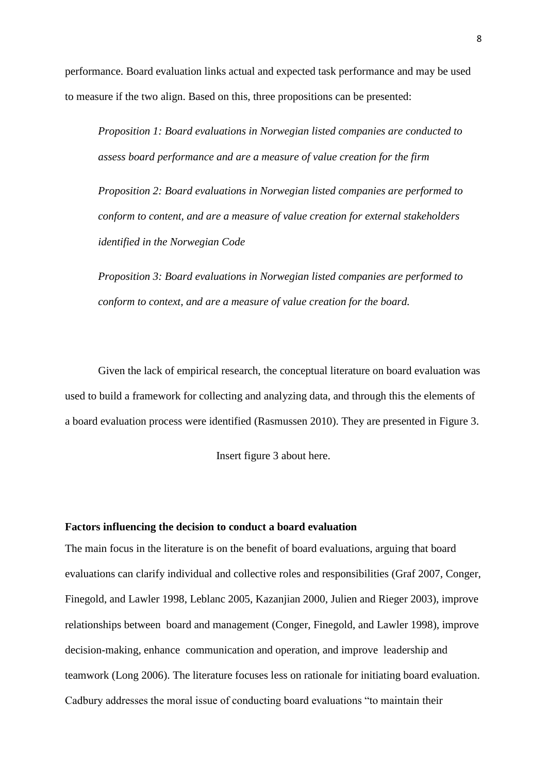performance. Board evaluation links actual and expected task performance and may be used to measure if the two align. Based on this, three propositions can be presented:

*Proposition 1: Board evaluations in Norwegian listed companies are conducted to assess board performance and are a measure of value creation for the firm*

*Proposition 2: Board evaluations in Norwegian listed companies are performed to conform to content, and are a measure of value creation for external stakeholders identified in the Norwegian Code*

*Proposition 3: Board evaluations in Norwegian listed companies are performed to conform to context, and are a measure of value creation for the board.*

Given the lack of empirical research, the conceptual literature on board evaluation was used to build a framework for collecting and analyzing data, and through this the elements of a board evaluation process were identified [\(Rasmussen 2010\)](#page-22-10). They are presented in Figure 3.

Insert figure 3 about here.

#### **Factors influencing the decision to conduct a board evaluation**

The main focus in the literature is on the benefit of board evaluations, arguing that board evaluations can clarify individual and collective roles and responsibilities [\(Graf 2007,](#page-21-14) [Conger,](#page-21-15)  [Finegold, and Lawler 1998,](#page-21-15) [Leblanc 2005,](#page-22-3) [Kazanjian 2000,](#page-22-15) [Julien and Rieger 2003\)](#page-22-16), improve relationships between board and management [\(Conger, Finegold, and Lawler 1998\)](#page-21-15), improve decision-making, enhance communication and operation, and improve leadership and teamwork [\(Long 2006\)](#page-22-5). The literature focuses less on rationale for initiating board evaluation. Cadbury addresses the moral issue of conducting board evaluations "to maintain their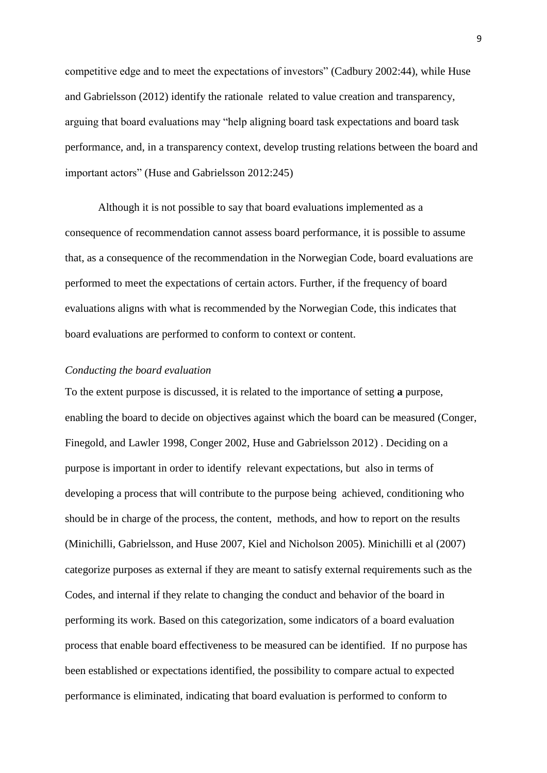competitive edge and to meet the expectations of investors" [\(Cadbury 2002:44\)](#page-21-16), while Huse and Gabrielsson (2012) identify the rationale related to value creation and transparency, arguing that board evaluations may "help aligning board task expectations and board task performance, and, in a transparency context, develop trusting relations between the board and important actors" [\(Huse and Gabrielsson 2012:245\)](#page-21-4)

Although it is not possible to say that board evaluations implemented as a consequence of recommendation cannot assess board performance, it is possible to assume that, as a consequence of the recommendation in the Norwegian Code, board evaluations are performed to meet the expectations of certain actors. Further, if the frequency of board evaluations aligns with what is recommended by the Norwegian Code, this indicates that board evaluations are performed to conform to context or content.

#### *Conducting the board evaluation*

To the extent purpose is discussed, it is related to the importance of setting **a** purpose, enabling the board to decide on objectives against which the board can be measured [\(Conger,](#page-21-15)  [Finegold, and Lawler 1998,](#page-21-15) [Conger 2002,](#page-21-17) [Huse and Gabrielsson 2012\)](#page-21-4) . Deciding on a purpose is important in order to identify relevant expectations, but also in terms of developing a process that will contribute to the purpose being achieved, conditioning who should be in charge of the process, the content, methods, and how to report on the results [\(Minichilli, Gabrielsson, and Huse 2007,](#page-22-0) [Kiel and Nicholson 2005\)](#page-22-6). Minichilli et al (2007) categorize purposes as external if they are meant to satisfy external requirements such as the Codes, and internal if they relate to changing the conduct and behavior of the board in performing its work. Based on this categorization, some indicators of a board evaluation process that enable board effectiveness to be measured can be identified. If no purpose has been established or expectations identified, the possibility to compare actual to expected performance is eliminated, indicating that board evaluation is performed to conform to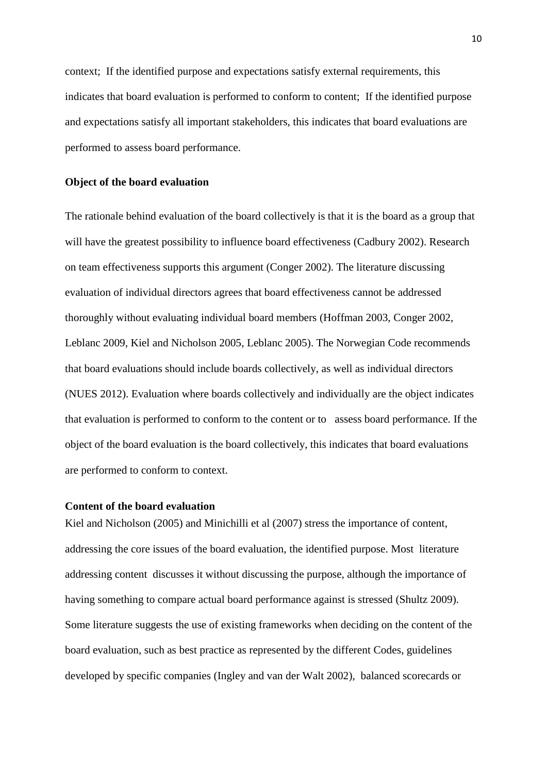context; If the identified purpose and expectations satisfy external requirements, this indicates that board evaluation is performed to conform to content; If the identified purpose and expectations satisfy all important stakeholders, this indicates that board evaluations are performed to assess board performance.

#### **Object of the board evaluation**

The rationale behind evaluation of the board collectively is that it is the board as a group that will have the greatest possibility to influence board effectiveness [\(Cadbury 2002\)](#page-21-16). Research on team effectiveness supports this argument [\(Conger 2002\)](#page-21-17). The literature discussing evaluation of individual directors agrees that board effectiveness cannot be addressed thoroughly without evaluating individual board members [\(Hoffman 2003,](#page-21-18) [Conger 2002,](#page-21-17) [Leblanc 2009,](#page-22-17) [Kiel and Nicholson 2005,](#page-22-6) [Leblanc 2005\)](#page-22-3). The Norwegian Code recommends that board evaluations should include boards collectively, as well as individual directors [\(NUES 2012\)](#page-22-1). Evaluation where boards collectively and individually are the object indicates that evaluation is performed to conform to the content or to assess board performance. If the object of the board evaluation is the board collectively, this indicates that board evaluations are performed to conform to context.

#### **Content of the board evaluation**

Kiel and Nicholson (2005) and Minichilli et al (2007) stress the importance of content, addressing the core issues of the board evaluation, the identified purpose. Most literature addressing content discusses it without discussing the purpose, although the importance of having something to compare actual board performance against is stressed [\(Shultz 2009\)](#page-23-4). Some literature suggests the use of existing frameworks when deciding on the content of the board evaluation, such as best practice as represented by the different Codes, guidelines developed by specific companies [\(Ingley and van der Walt 2002\)](#page-21-0), balanced scorecards or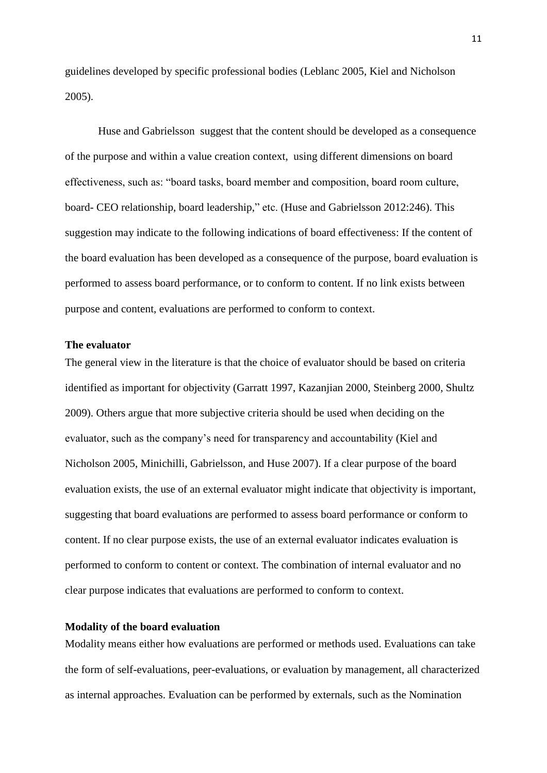guidelines developed by specific professional bodies [\(Leblanc 2005,](#page-22-3) [Kiel and Nicholson](#page-22-6)  [2005\)](#page-22-6).

Huse and Gabrielsson suggest that the content should be developed as a consequence of the purpose and within a value creation context, using different dimensions on board effectiveness, such as: "board tasks, board member and composition, board room culture, board- CEO relationship, board leadership," etc. [\(Huse and Gabrielsson 2012:246\)](#page-21-4). This suggestion may indicate to the following indications of board effectiveness: If the content of the board evaluation has been developed as a consequence of the purpose, board evaluation is performed to assess board performance, or to conform to content. If no link exists between purpose and content, evaluations are performed to conform to context.

#### **The evaluator**

The general view in the literature is that the choice of evaluator should be based on criteria identified as important for objectivity [\(Garratt 1997,](#page-21-19) [Kazanjian 2000,](#page-22-15) [Steinberg 2000,](#page-23-5) [Shultz](#page-23-4)  [2009\)](#page-23-4). Others argue that more subjective criteria should be used when deciding on the evaluator, such as the company's need for transparency and accountability [\(Kiel and](#page-22-6)  [Nicholson 2005,](#page-22-6) [Minichilli, Gabrielsson, and Huse 2007\)](#page-22-0). If a clear purpose of the board evaluation exists, the use of an external evaluator might indicate that objectivity is important, suggesting that board evaluations are performed to assess board performance or conform to content. If no clear purpose exists, the use of an external evaluator indicates evaluation is performed to conform to content or context. The combination of internal evaluator and no clear purpose indicates that evaluations are performed to conform to context.

#### **Modality of the board evaluation**

Modality means either how evaluations are performed or methods used. Evaluations can take the form of self-evaluations, peer-evaluations, or evaluation by management, all characterized as internal approaches. Evaluation can be performed by externals, such as the Nomination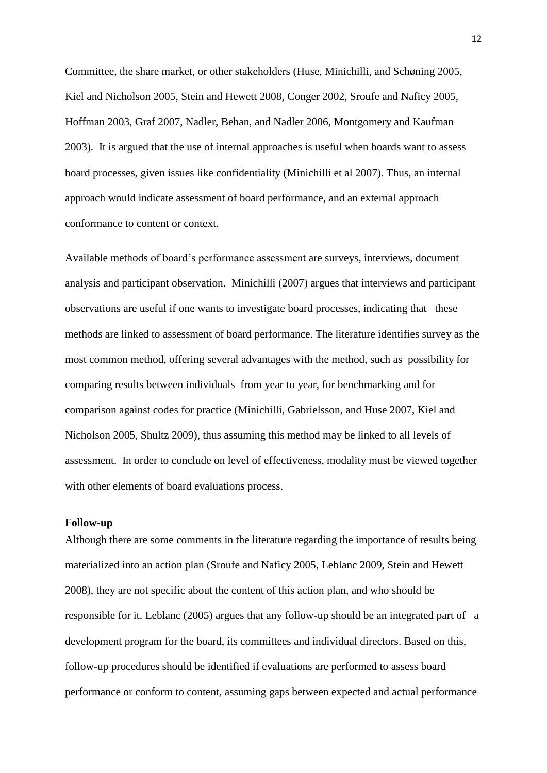Committee, the share market, or other stakeholders [\(Huse, Minichilli, and Schøning 2005,](#page-21-20) [Kiel and Nicholson 2005,](#page-22-6) [Stein and Hewett 2008,](#page-23-6) [Conger](#page-21-17) 2002, [Sroufe and Naficy 2005,](#page-23-7) [Hoffman 2003,](#page-21-18) [Graf 2007,](#page-21-14) [Nadler, Behan, and Nadler 2006,](#page-22-18) [Montgomery and Kaufman](#page-22-19)  [2003\)](#page-22-19). It is argued that the use of internal approaches is useful when boards want to assess board processes, given issues like confidentiality (Minichilli et al 2007). Thus, an internal approach would indicate assessment of board performance, and an external approach conformance to content or context.

Available methods of board's performance assessment are surveys, interviews, document analysis and participant observation. Minichilli (2007) argues that interviews and participant observations are useful if one wants to investigate board processes, indicating that these methods are linked to assessment of board performance. The literature identifies survey as the most common method, offering several advantages with the method, such as possibility for comparing results between individuals from year to year, for benchmarking and for comparison against codes for practice [\(Minichilli, Gabrielsson, and Huse 2007,](#page-22-0) [Kiel and](#page-22-6)  [Nicholson 2005,](#page-22-6) [Shultz 2009\)](#page-23-4), thus assuming this method may be linked to all levels of assessment. In order to conclude on level of effectiveness, modality must be viewed together with other elements of board evaluations process.

#### **Follow-up**

Although there are some comments in the literature regarding the importance of results being materialized into an action plan [\(Sroufe and Naficy 2005,](#page-23-7) [Leblanc 2009,](#page-22-17) [Stein and Hewett](#page-23-6)  [2008\)](#page-23-6), they are not specific about the content of this action plan, and who should be responsible for it. Leblanc (2005) argues that any follow-up should be an integrated part of a development program for the board, its committees and individual directors. Based on this, follow-up procedures should be identified if evaluations are performed to assess board performance or conform to content, assuming gaps between expected and actual performance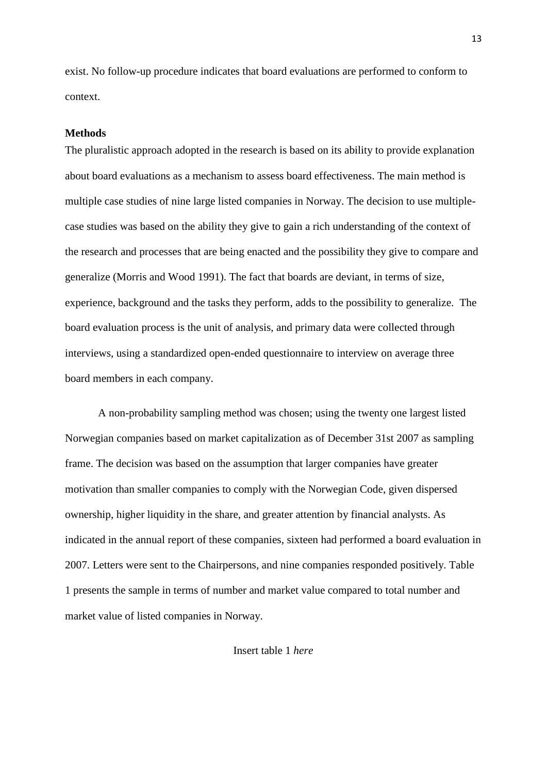exist. No follow-up procedure indicates that board evaluations are performed to conform to context.

#### **Methods**

The pluralistic approach adopted in the research is based on its ability to provide explanation about board evaluations as a mechanism to assess board effectiveness. The main method is multiple case studies of nine large listed companies in Norway. The decision to use multiplecase studies was based on the ability they give to gain a rich understanding of the context of the research and processes that are being enacted and the possibility they give to compare and generalize [\(Morris and Wood 1991\)](#page-22-20). The fact that boards are deviant, in terms of size, experience, background and the tasks they perform, adds to the possibility to generalize. The board evaluation process is the unit of analysis, and primary data were collected through interviews, using a standardized open-ended questionnaire to interview on average three board members in each company.

A non-probability sampling method was chosen; using the twenty one largest listed Norwegian companies based on market capitalization as of December 31st 2007 as sampling frame. The decision was based on the assumption that larger companies have greater motivation than smaller companies to comply with the Norwegian Code, given dispersed ownership, higher liquidity in the share, and greater attention by financial analysts. As indicated in the annual report of these companies, sixteen had performed a board evaluation in 2007. Letters were sent to the Chairpersons, and nine companies responded positively. Table 1 presents the sample in terms of number and market value compared to total number and market value of listed companies in Norway.

Insert table 1 *here*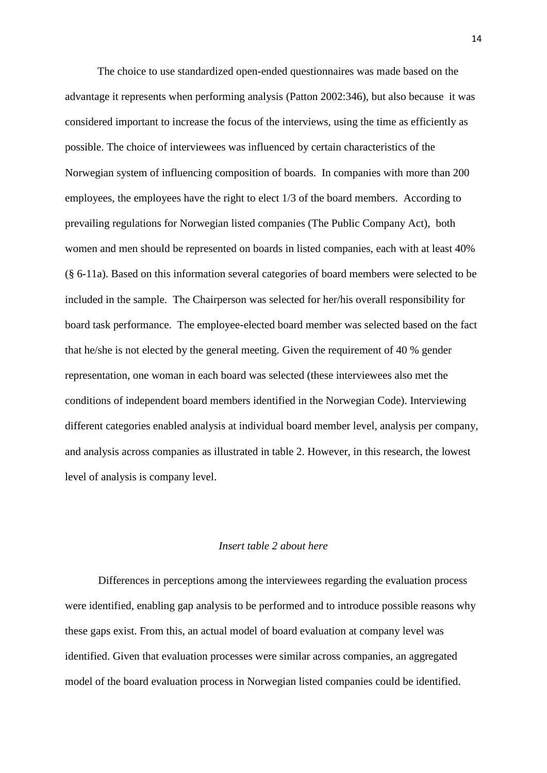The choice to use standardized open-ended questionnaires was made based on the advantage it represents when performing analysis [\(Patton 2002:346\)](#page-22-21), but also because it was considered important to increase the focus of the interviews, using the time as efficiently as possible. The choice of interviewees was influenced by certain characteristics of the Norwegian system of influencing composition of boards. In companies with more than 200 employees, the employees have the right to elect 1/3 of the board members. According to prevailing regulations for Norwegian listed companies (The Public Company Act), both women and men should be represented on boards in listed companies, each with at least 40% (§ 6-11a). Based on this information several categories of board members were selected to be included in the sample. The Chairperson was selected for her/his overall responsibility for board task performance. The employee-elected board member was selected based on the fact that he/she is not elected by the general meeting. Given the requirement of 40 % gender representation, one woman in each board was selected (these interviewees also met the conditions of independent board members identified in the Norwegian Code). Interviewing different categories enabled analysis at individual board member level, analysis per company, and analysis across companies as illustrated in table 2. However, in this research, the lowest level of analysis is company level.

#### *Insert table 2 about here*

Differences in perceptions among the interviewees regarding the evaluation process were identified, enabling gap analysis to be performed and to introduce possible reasons why these gaps exist. From this, an actual model of board evaluation at company level was identified. Given that evaluation processes were similar across companies, an aggregated model of the board evaluation process in Norwegian listed companies could be identified.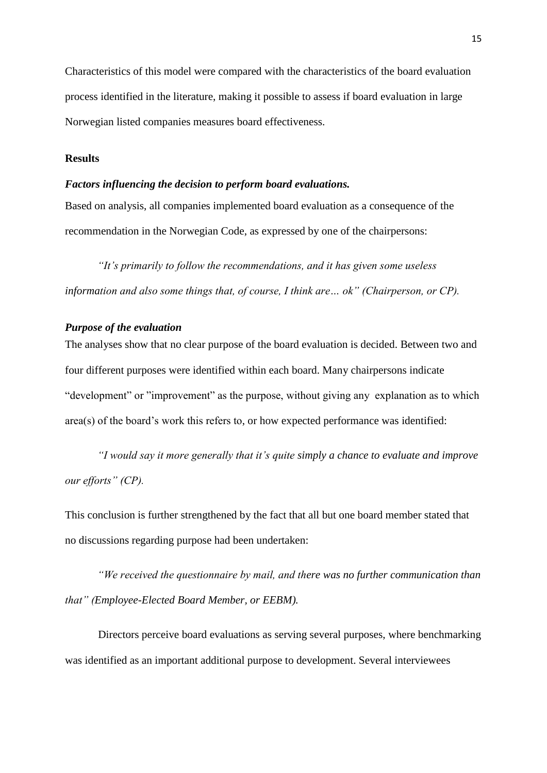Characteristics of this model were compared with the characteristics of the board evaluation process identified in the literature, making it possible to assess if board evaluation in large Norwegian listed companies measures board effectiveness.

#### **Results**

#### *Factors influencing the decision to perform board evaluations.*

Based on analysis, all companies implemented board evaluation as a consequence of the recommendation in the Norwegian Code, as expressed by one of the chairpersons:

*"It's primarily to follow the recommendations, and it has given some useless information and also some things that, of course, I think are… ok" (Chairperson, or CP).*

#### *Purpose of the evaluation*

The analyses show that no clear purpose of the board evaluation is decided. Between two and four different purposes were identified within each board. Many chairpersons indicate "development" or "improvement" as the purpose, without giving any explanation as to which area(s) of the board's work this refers to, or how expected performance was identified:

*"I would say it more generally that it's quite simply a chance to evaluate and improve our efforts" (CP).* 

This conclusion is further strengthened by the fact that all but one board member stated that no discussions regarding purpose had been undertaken:

*"We received the questionnaire by mail, and there was no further communication than that" (Employee-Elected Board Member, or EEBM).*

Directors perceive board evaluations as serving several purposes, where benchmarking was identified as an important additional purpose to development. Several interviewees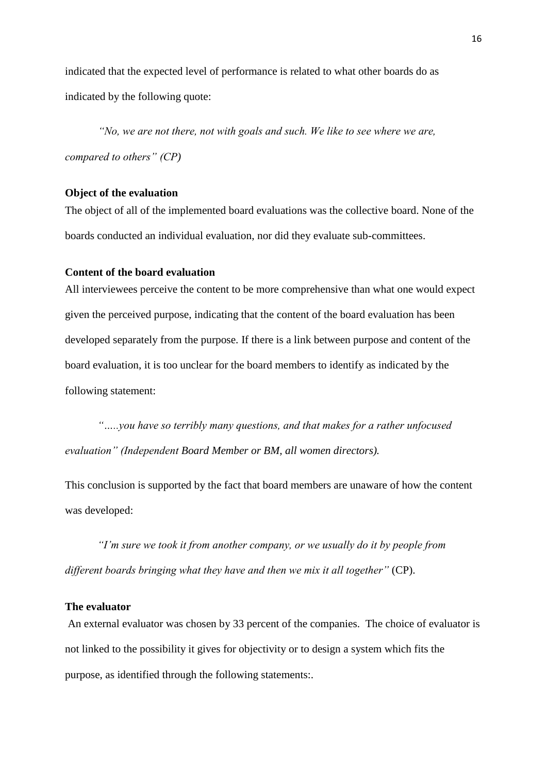indicated that the expected level of performance is related to what other boards do as indicated by the following quote:

*"No, we are not there, not with goals and such. We like to see where we are, compared to others" (CP)*

#### **Object of the evaluation**

The object of all of the implemented board evaluations was the collective board. None of the boards conducted an individual evaluation, nor did they evaluate sub-committees.

#### **Content of the board evaluation**

All interviewees perceive the content to be more comprehensive than what one would expect given the perceived purpose, indicating that the content of the board evaluation has been developed separately from the purpose. If there is a link between purpose and content of the board evaluation, it is too unclear for the board members to identify as indicated by the following statement:

*"…..you have so terribly many questions, and that makes for a rather unfocused evaluation" (Independent Board Member or BM, all women directors).*

This conclusion is supported by the fact that board members are unaware of how the content was developed:

*"I'm sure we took it from another company, or we usually do it by people from different boards bringing what they have and then we mix it all together"* (CP).

#### **The evaluator**

An external evaluator was chosen by 33 percent of the companies. The choice of evaluator is not linked to the possibility it gives for objectivity or to design a system which fits the purpose, as identified through the following statements:.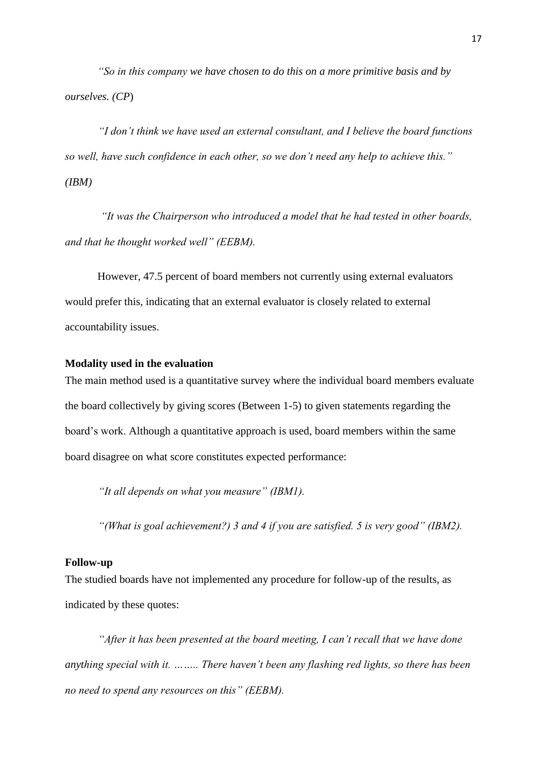*"So in this company we have chosen to do this on a more primitive basis and by ourselves. (CP*)

*"I don't think we have used an external consultant, and I believe the board functions so well, have such confidence in each other, so we don't need any help to achieve this." (IBM)*

*"It was the Chairperson who introduced a model that he had tested in other boards, and that he thought worked well" (EEBM).*

However, 47.5 percent of board members not currently using external evaluators would prefer this, indicating that an external evaluator is closely related to external accountability issues.

#### **Modality used in the evaluation**

The main method used is a quantitative survey where the individual board members evaluate the board collectively by giving scores (Between 1-5) to given statements regarding the board's work. Although a quantitative approach is used, board members within the same board disagree on what score constitutes expected performance:

*"It all depends on what you measure" (IBM1).* 

*"(What is goal achievement?) 3 and 4 if you are satisfied. 5 is very good" (IBM2).*

#### **Follow-up**

The studied boards have not implemented any procedure for follow-up of the results, as indicated by these quotes:

*"After it has been presented at the board meeting, I can't recall that we have done anything special with it. …….. There haven't been any flashing red lights, so there has been no need to spend any resources on this" (EEBM).*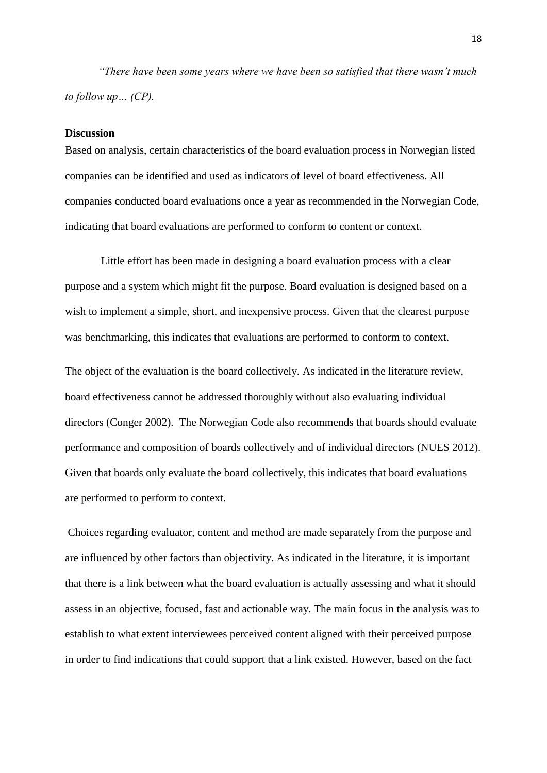*"There have been some years where we have been so satisfied that there wasn't much to follow up… (CP).*

#### **Discussion**

Based on analysis, certain characteristics of the board evaluation process in Norwegian listed companies can be identified and used as indicators of level of board effectiveness. All companies conducted board evaluations once a year as recommended in the Norwegian Code, indicating that board evaluations are performed to conform to content or context.

Little effort has been made in designing a board evaluation process with a clear purpose and a system which might fit the purpose. Board evaluation is designed based on a wish to implement a simple, short, and inexpensive process. Given that the clearest purpose was benchmarking, this indicates that evaluations are performed to conform to context.

The object of the evaluation is the board collectively. As indicated in the literature review, board effectiveness cannot be addressed thoroughly without also evaluating individual directors [\(Conger 2002\)](#page-21-17). The Norwegian Code also recommends that boards should evaluate performance and composition of boards collectively and of individual directors [\(NUES 2012\)](#page-22-1). Given that boards only evaluate the board collectively, this indicates that board evaluations are performed to perform to context.

Choices regarding evaluator, content and method are made separately from the purpose and are influenced by other factors than objectivity. As indicated in the literature, it is important that there is a link between what the board evaluation is actually assessing and what it should assess in an objective, focused, fast and actionable way. The main focus in the analysis was to establish to what extent interviewees perceived content aligned with their perceived purpose in order to find indications that could support that a link existed. However, based on the fact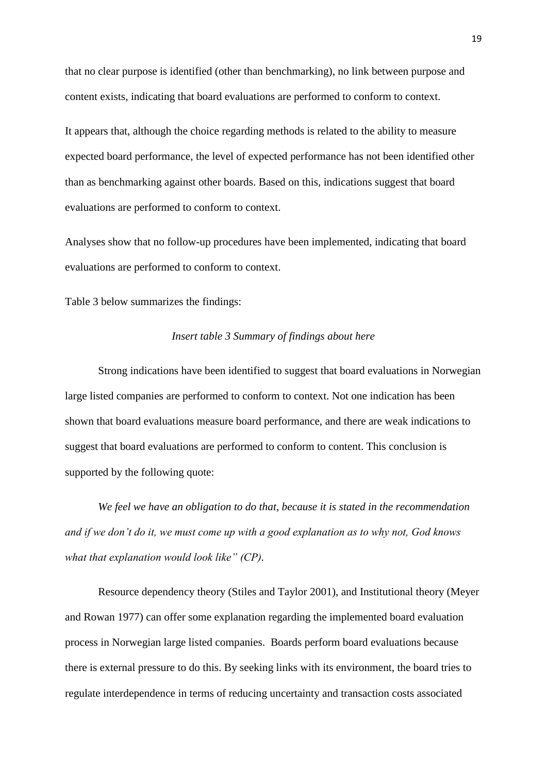that no clear purpose is identified (other than benchmarking), no link between purpose and content exists, indicating that board evaluations are performed to conform to context.

It appears that, although the choice regarding methods is related to the ability to measure expected board performance, the level of expected performance has not been identified other than as benchmarking against other boards. Based on this, indications suggest that board evaluations are performed to conform to context.

Analyses show that no follow-up procedures have been implemented, indicating that board evaluations are performed to conform to context.

Table 3 below summarizes the findings:

#### *Insert table 3 Summary of findings about here*

Strong indications have been identified to suggest that board evaluations in Norwegian large listed companies are performed to conform to context. Not one indication has been shown that board evaluations measure board performance, and there are weak indications to suggest that board evaluations are performed to conform to content. This conclusion is supported by the following quote:

*We feel we have an obligation to do that, because it is stated in the recommendation and if we don't do it, we must come up with a good explanation as to why not, God knows what that explanation would look like" (CP).*

Resource dependency theory [\(Stiles and Taylor 2001\)](#page-23-3), and Institutional theory [\(Meyer](#page-22-22)  [and Rowan 1977\)](#page-22-22) can offer some explanation regarding the implemented board evaluation process in Norwegian large listed companies. Boards perform board evaluations because there is external pressure to do this. By seeking links with its environment, the board tries to regulate interdependence in terms of reducing uncertainty and transaction costs associated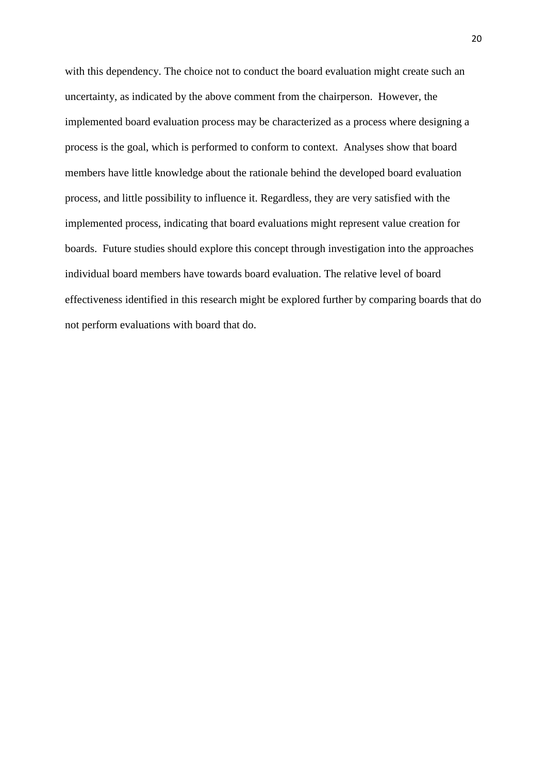with this dependency. The choice not to conduct the board evaluation might create such an uncertainty, as indicated by the above comment from the chairperson. However, the implemented board evaluation process may be characterized as a process where designing a process is the goal, which is performed to conform to context. Analyses show that board members have little knowledge about the rationale behind the developed board evaluation process, and little possibility to influence it. Regardless, they are very satisfied with the implemented process, indicating that board evaluations might represent value creation for boards. Future studies should explore this concept through investigation into the approaches individual board members have towards board evaluation. The relative level of board effectiveness identified in this research might be explored further by comparing boards that do not perform evaluations with board that do.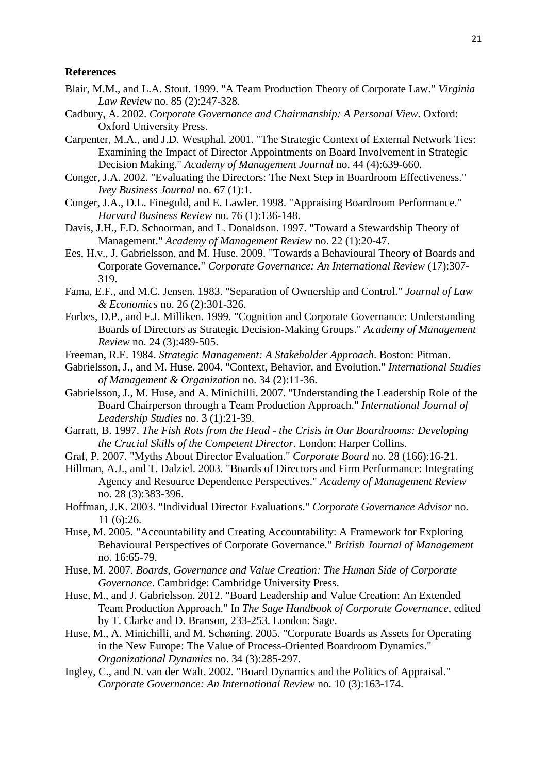#### **References**

- <span id="page-21-3"></span>Blair, M.M., and L.A. Stout. 1999. "A Team Production Theory of Corporate Law." *Virginia Law Review* no. 85 (2):247-328.
- <span id="page-21-16"></span>Cadbury, A. 2002. *Corporate Governance and Chairmanship: A Personal View*. Oxford: Oxford University Press.
- <span id="page-21-9"></span>Carpenter, M.A., and J.D. Westphal. 2001. "The Strategic Context of External Network Ties: Examining the Impact of Director Appointments on Board Involvement in Strategic Decision Making." *Academy of Management Journal* no. 44 (4):639-660.
- <span id="page-21-17"></span>Conger, J.A. 2002. "Evaluating the Directors: The Next Step in Boardroom Effectiveness." *Ivey Business Journal* no. 67 (1):1.
- <span id="page-21-15"></span>Conger, J.A., D.L. Finegold, and E. Lawler. 1998. "Appraising Boardroom Performance." *Harvard Business Review* no. 76 (1):136-148.
- <span id="page-21-12"></span>Davis, J.H., F.D. Schoorman, and L. Donaldson. 1997. "Toward a Stewardship Theory of Management." *Academy of Management Review* no. 22 (1):20-47.
- <span id="page-21-2"></span>Ees, H.v., J. Gabrielsson, and M. Huse. 2009. "Towards a Behavioural Theory of Boards and Corporate Governance." *Corporate Governance: An International Review* (17):307- 319.
- <span id="page-21-5"></span>Fama, E.F., and M.C. Jensen. 1983. "Separation of Ownership and Control." *Journal of Law & Economics* no. 26 (2):301-326.
- <span id="page-21-8"></span>Forbes, D.P., and F.J. Milliken. 1999. "Cognition and Corporate Governance: Understanding Boards of Directors as Strategic Decision-Making Groups." *Academy of Management Review* no. 24 (3):489-505.
- <span id="page-21-13"></span>Freeman, R.E. 1984. *Strategic Management: A Stakeholder Approach*. Boston: Pitman.
- <span id="page-21-1"></span>Gabrielsson, J., and M. Huse. 2004. "Context, Behavior, and Evolution." *International Studies of Management & Organization* no. 34 (2):11-36.
- <span id="page-21-6"></span>Gabrielsson, J., M. Huse, and A. Minichilli. 2007. "Understanding the Leadership Role of the Board Chairperson through a Team Production Approach." *International Journal of Leadership Studies* no. 3 (1):21-39.
- <span id="page-21-19"></span>Garratt, B. 1997. *The Fish Rots from the Head - the Crisis in Our Boardrooms: Developing the Crucial Skills of the Competent Director*. London: Harper Collins.
- <span id="page-21-14"></span>Graf, P. 2007. "Myths About Director Evaluation." *Corporate Board* no. 28 (166):16-21.
- <span id="page-21-10"></span>Hillman, A.J., and T. Dalziel. 2003. "Boards of Directors and Firm Performance: Integrating Agency and Resource Dependence Perspectives." *Academy of Management Review* no. 28 (3):383-396.
- <span id="page-21-18"></span>Hoffman, J.K. 2003. "Individual Director Evaluations." *Corporate Governance Advisor* no. 11 (6):26.
- <span id="page-21-11"></span>Huse, M. 2005. "Accountability and Creating Accountability: A Framework for Exploring Behavioural Perspectives of Corporate Governance." *British Journal of Management* no. 16:65-79.
- <span id="page-21-7"></span>Huse, M. 2007. *Boards, Governance and Value Creation: The Human Side of Corporate Governance*. Cambridge: Cambridge University Press.
- <span id="page-21-4"></span>Huse, M., and J. Gabrielsson. 2012. "Board Leadership and Value Creation: An Extended Team Production Approach." In *The Sage Handbook of Corporate Governance*, edited by T. Clarke and D. Branson, 233-253. London: Sage.
- <span id="page-21-20"></span>Huse, M., A. Minichilli, and M. Schøning. 2005. "Corporate Boards as Assets for Operating in the New Europe: The Value of Process-Oriented Boardroom Dynamics." *Organizational Dynamics* no. 34 (3):285-297.
- <span id="page-21-0"></span>Ingley, C., and N. van der Walt. 2002. "Board Dynamics and the Politics of Appraisal." *Corporate Governance: An International Review* no. 10 (3):163-174.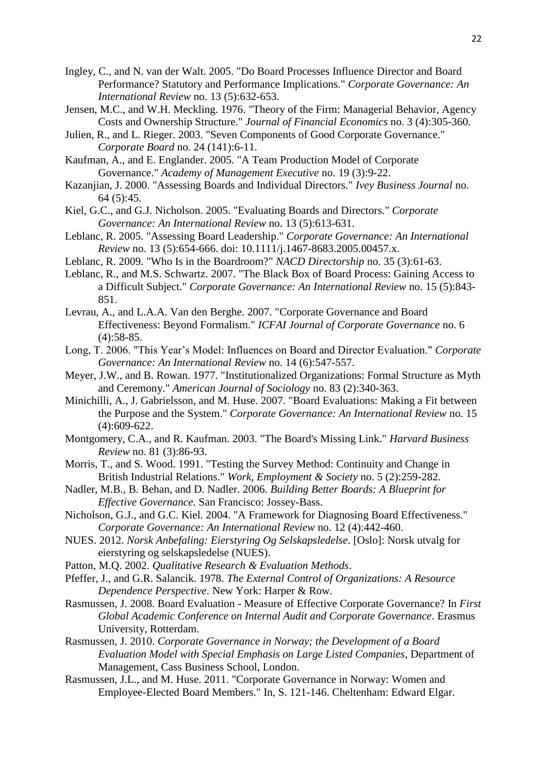- <span id="page-22-2"></span>Ingley, C., and N. van der Walt. 2005. "Do Board Processes Influence Director and Board Performance? Statutory and Performance Implications." *Corporate Governance: An International Review* no. 13 (5):632-653.
- <span id="page-22-11"></span>Jensen, M.C., and W.H. Meckling. 1976. "Theory of the Firm: Managerial Behavior, Agency Costs and Ownership Structure." *Journal of Financial Economics* no. 3 (4):305-360.
- <span id="page-22-16"></span>Julien, R., and L. Rieger. 2003. "Seven Components of Good Corporate Governance." *Corporate Board* no. 24 (141):6-11.
- <span id="page-22-15"></span><span id="page-22-12"></span>Kaufman, A., and E. Englander. 2005. "A Team Production Model of Corporate Governance." *Academy of Management Executive* no. 19 (3):9-22.
- Kazanjian, J. 2000. "Assessing Boards and Individual Directors." *Ivey Business Journal* no. 64 (5):45.
- <span id="page-22-6"></span>Kiel, G.C., and G.J. Nicholson. 2005. "Evaluating Boards and Directors." *Corporate Governance: An International Review* no. 13 (5):613-631.
- <span id="page-22-3"></span>Leblanc, R. 2005. "Assessing Board Leadership." *Corporate Governance: An International Review* no. 13 (5):654-666. doi: 10.1111/j.1467-8683.2005.00457.x.
- <span id="page-22-17"></span>Leblanc, R. 2009. "Who Is in the Boardroom?" *NACD Directorship* no. 35 (3):61-63.
- <span id="page-22-4"></span>Leblanc, R., and M.S. Schwartz. 2007. "The Black Box of Board Process: Gaining Access to a Difficult Subject." *Corporate Governance: An International Review* no. 15 (5):843- 851.
- <span id="page-22-13"></span>Levrau, A., and L.A.A. Van den Berghe. 2007. "Corporate Governance and Board Effectiveness: Beyond Formalism." *ICFAI Journal of Corporate Governance* no. 6 (4):58-85.
- <span id="page-22-5"></span>Long, T. 2006. "This Year's Model: Influences on Board and Director Evaluation." *Corporate Governance: An International Review* no. 14 (6):547-557.
- <span id="page-22-22"></span>Meyer, J.W., and B. Rowan. 1977. "Institutionalized Organizations: Formal Structure as Myth and Ceremony." *American Journal of Sociology* no. 83 (2):340-363.
- <span id="page-22-0"></span>Minichilli, A., J. Gabrielsson, and M. Huse. 2007. "Board Evaluations: Making a Fit between the Purpose and the System." *Corporate Governance: An International Review* no. 15 (4):609-622.
- <span id="page-22-19"></span>Montgomery, C.A., and R. Kaufman. 2003. "The Board's Missing Link." *Harvard Business Review* no. 81 (3):86-93.
- <span id="page-22-20"></span>Morris, T., and S. Wood. 1991. "Testing the Survey Method: Continuity and Change in British Industrial Relations." *Work, Employment & Society* no. 5 (2):259-282.
- <span id="page-22-18"></span>Nadler, M.B., B. Behan, and D. Nadler. 2006. *Building Better Boards: A Blueprint for Effective Governance*. San Francisco: Jossey-Bass.
- <span id="page-22-14"></span><span id="page-22-1"></span>Nicholson, G.J., and G.C. Kiel. 2004. "A Framework for Diagnosing Board Effectiveness." *Corporate Governance: An International Review* no. 12 (4):442-460.
- NUES. 2012. *Norsk Anbefaling: Eierstyring Og Selskapsledelse*. [Oslo]: Norsk utvalg for eierstyring og selskapsledelse (NUES).
- <span id="page-22-21"></span>Patton, M.Q. 2002. *Qualitative Research & Evaluation Methods*.
- <span id="page-22-8"></span>Pfeffer, J., and G.R. Salancik. 1978. *The External Control of Organizations: A Resource Dependence Perspective*. New York: Harper & Row.
- <span id="page-22-9"></span>Rasmussen, J. 2008. Board Evaluation - Measure of Effective Corporate Governance? In *First Global Academic Conference on Internal Audit and Corporate Governance*. Erasmus University, Rotterdam.
- <span id="page-22-10"></span>Rasmussen, J. 2010. *Corporate Governance in Norway; the Development of a Board Evaluation Model with Special Emphasis on Large Listed Companies*, Department of Management, Cass Business School, London.
- <span id="page-22-7"></span>Rasmussen, J.L., and M. Huse. 2011. "Corporate Governance in Norway: Women and Employee-Elected Board Members." In, S. 121-146. Cheltenham: Edward Elgar.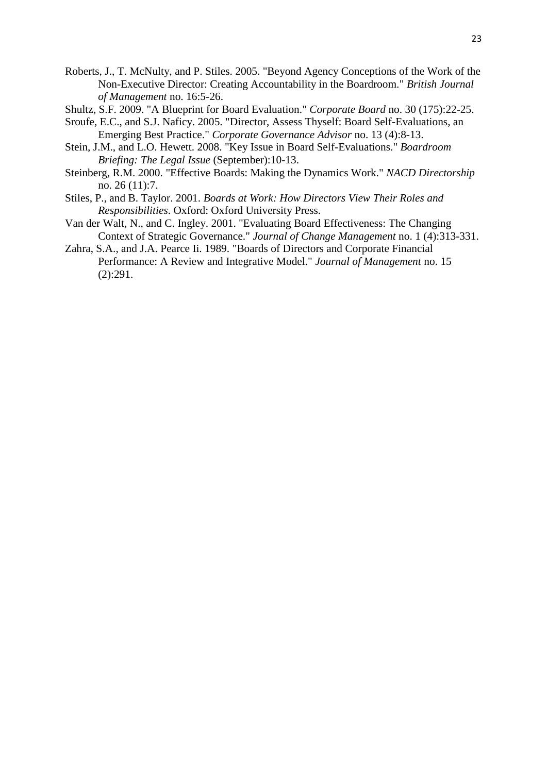- <span id="page-23-0"></span>Roberts, J., T. McNulty, and P. Stiles. 2005. "Beyond Agency Conceptions of the Work of the Non-Executive Director: Creating Accountability in the Boardroom." *British Journal of Management* no. 16:5-26.
- <span id="page-23-4"></span>Shultz, S.F. 2009. "A Blueprint for Board Evaluation." *Corporate Board* no. 30 (175):22-25.
- <span id="page-23-7"></span>Sroufe, E.C., and S.J. Naficy. 2005. "Director, Assess Thyself: Board Self-Evaluations, an Emerging Best Practice." *Corporate Governance Advisor* no. 13 (4):8-13.
- <span id="page-23-6"></span>Stein, J.M., and L.O. Hewett. 2008. "Key Issue in Board Self-Evaluations." *Boardroom Briefing: The Legal Issue* (September):10-13.
- <span id="page-23-5"></span>Steinberg, R.M. 2000. "Effective Boards: Making the Dynamics Work." *NACD Directorship* no. 26 (11):7.
- <span id="page-23-3"></span>Stiles, P., and B. Taylor. 2001. *Boards at Work: How Directors View Their Roles and Responsibilities*. Oxford: Oxford University Press.
- <span id="page-23-2"></span>Van der Walt, N., and C. Ingley. 2001. "Evaluating Board Effectiveness: The Changing Context of Strategic Governance." *Journal of Change Management* no. 1 (4):313-331.
- <span id="page-23-1"></span>Zahra, S.A., and J.A. Pearce Ii. 1989. "Boards of Directors and Corporate Financial Performance: A Review and Integrative Model." *Journal of Management* no. 15 (2):291.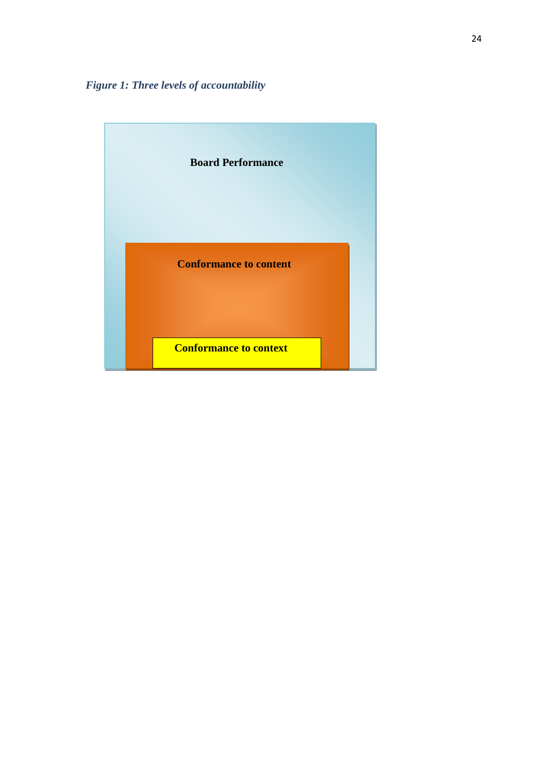*Figure 1: Three levels of accountability*

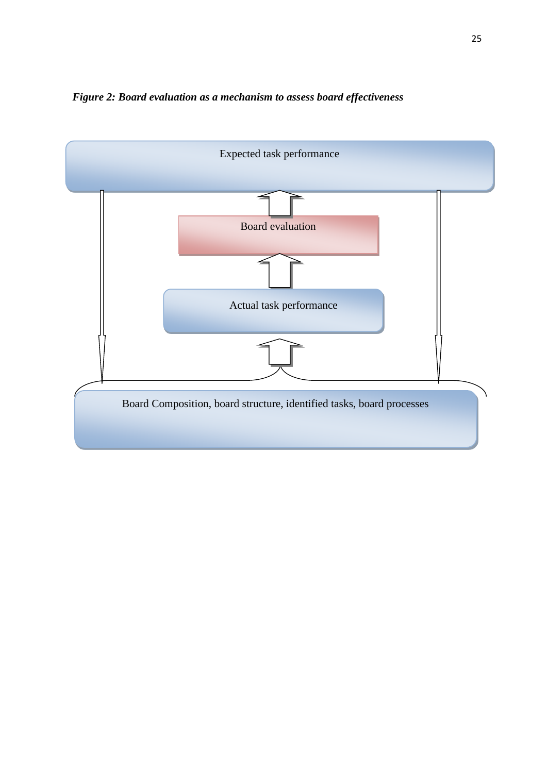

*Figure 2: Board evaluation as a mechanism to assess board effectiveness*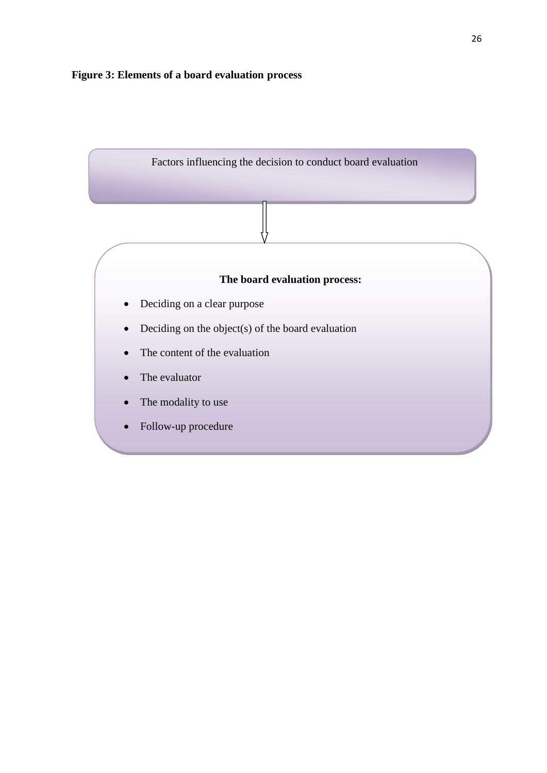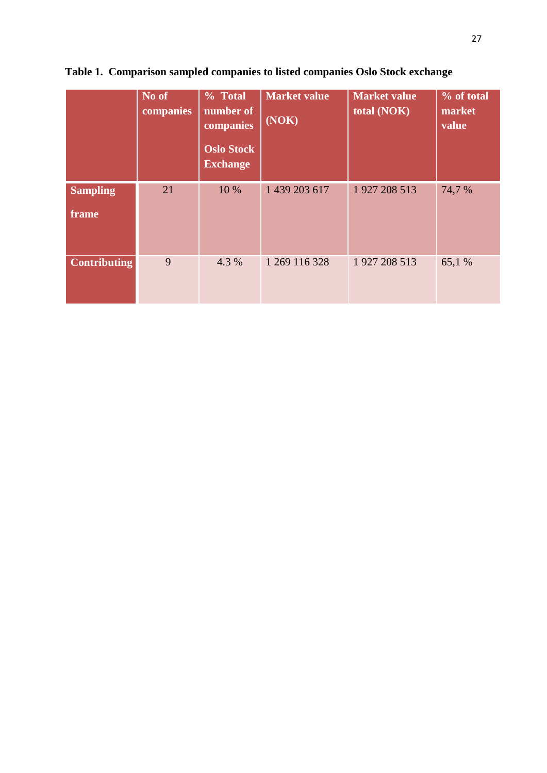|                          | No of<br>companies | % Total<br>number of<br>companies<br><b>Oslo Stock</b><br><b>Exchange</b> | <b>Market value</b><br>(NOK) | <b>Market value</b><br>total (NOK) | % of total<br>market<br>value |
|--------------------------|--------------------|---------------------------------------------------------------------------|------------------------------|------------------------------------|-------------------------------|
| <b>Sampling</b><br>frame | 21                 | 10 %                                                                      | 1 439 203 617                | 1 927 208 513                      | 74,7 %                        |
| <b>Contributing</b>      | 9                  | 4.3 %                                                                     | 1 269 116 328                | 1 927 208 513                      | 65,1 %                        |

**Table 1. Comparison sampled companies to listed companies Oslo Stock exchange**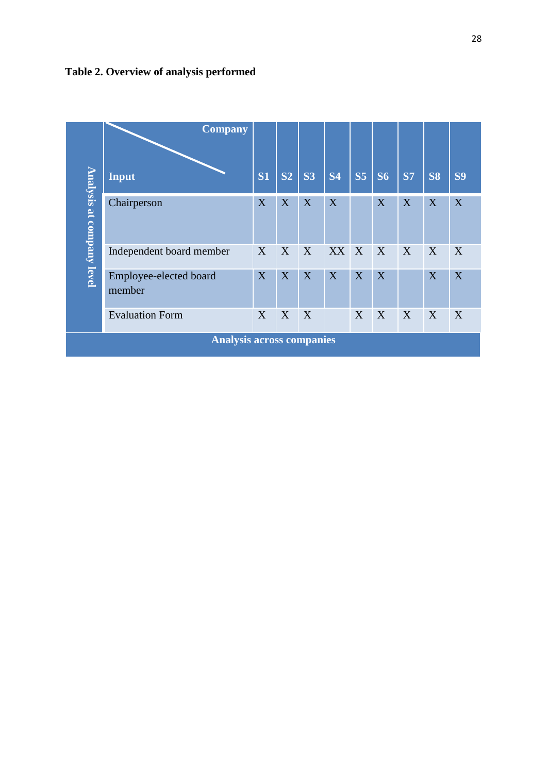

|                                  | <b>Company</b>                   |           |                |           |           |                |           |           |           |           |
|----------------------------------|----------------------------------|-----------|----------------|-----------|-----------|----------------|-----------|-----------|-----------|-----------|
|                                  | <b>Input</b>                     | <b>S1</b> | S <sub>2</sub> | <b>S3</b> | <b>S4</b> | S <sub>5</sub> | <b>S6</b> | <b>S7</b> | <b>S8</b> | <b>S9</b> |
| Analysis at company level        | Chairperson                      | X         | X              | X         | X         |                | X         | X         | X         | X         |
|                                  | Independent board member         | X         | X              | X         | XX X      |                | X         | X         | X         | X         |
|                                  | Employee-elected board<br>member | X         | X              | X         | X         | X              | X         |           | X         | X         |
|                                  | <b>Evaluation Form</b>           | X         | X              | X         |           | X              | X         | X         | X         | X         |
| <b>Analysis across companies</b> |                                  |           |                |           |           |                |           |           |           |           |